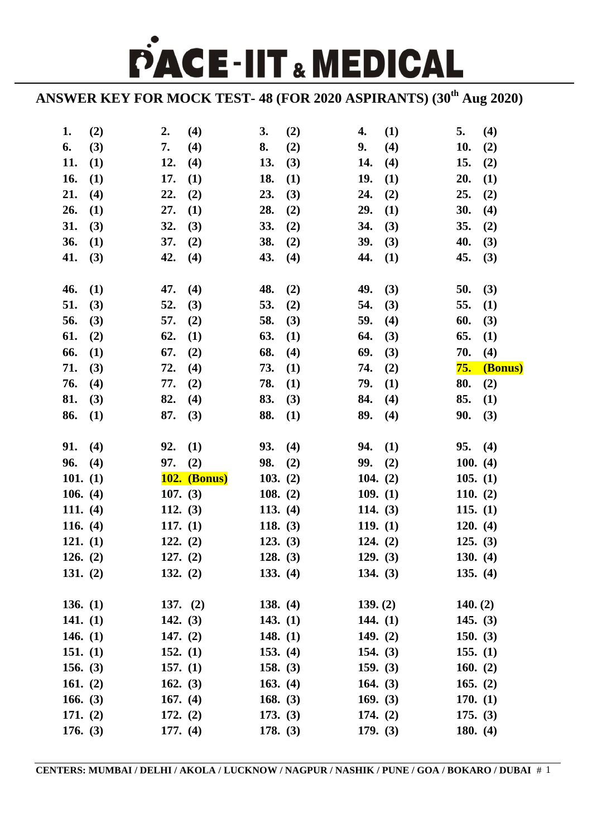PACE-IIT & MEDICAL

**ANSWER KEY FOR MOCK TEST- 48 (FOR 2020 ASPIRANTS) (30th Aug 2020)**

| 1.         | (2) | 2.         | (4)                 | 3.         | (2) | 4.         | (1) | 5.               | (4)     |
|------------|-----|------------|---------------------|------------|-----|------------|-----|------------------|---------|
| 6.         | (3) | 7.         | (4)                 | 8.         | (2) | 9.         | (4) | 10.              | (2)     |
| 11.        | (1) | 12.        | (4)                 | 13.        | (3) | 14.        | (4) | 15.              | (2)     |
| 16.        | (1) | 17.        | (1)                 | 18.        | (1) | 19.        | (1) | 20.              | (1)     |
| 21.        | (4) | 22.        | (2)                 | 23.        | (3) | 24.        | (2) | 25.              | (2)     |
| 26.        | (1) | 27.        | (1)                 | 28.        | (2) | 29.        | (1) | 30.              | (4)     |
| 31.        | (3) | 32.        | (3)                 | 33.        | (2) | 34.        | (3) | 35.              | (2)     |
| 36.        | (1) | 37.        | (2)                 | 38.        | (2) | 39.        | (3) | 40.              | (3)     |
| 41.        | (3) | 42.        | (4)                 | 43.        | (4) | 44.        | (1) | 45.              | (3)     |
|            |     |            |                     |            |     |            |     |                  |         |
| 46.        | (1) | 47.        | (4)                 | 48.        | (2) | 49.        | (3) | 50.              | (3)     |
| 51.        | (3) | 52.        | (3)                 | 53.        | (2) | 54.        | (3) | 55.              | (1)     |
| 56.        | (3) | 57.        | (2)                 | 58.        | (3) | 59.        | (4) | 60.              | (3)     |
| 61.        | (2) | 62.        | (1)                 | 63.        | (1) | 64.        | (3) | 65.              | (1)     |
| 66.        | (1) | 67.        | (2)                 | 68.        | (4) | 69.        | (3) | 70.              | (4)     |
| 71.        | (3) | 72.        | (4)                 | 73.        | (1) | 74.        | (2) | <mark>75.</mark> | (Bonus) |
| 76.        | (4) | 77.        | (2)                 | 78.        | (1) | 79.        | (1) | 80.              | (2)     |
| 81.        | (3) | 82.        | (4)                 | 83.        | (3) | 84.        | (4) | 85.              | (1)     |
| 86.        | (1) | 87.        | (3)                 | 88.        | (1) | 89.        | (4) | 90.              | (3)     |
|            |     |            |                     |            |     |            |     |                  |         |
| 91.        | (4) | 92.        | (1)                 | 93.        | (4) | 94.        | (1) | 95.              | (4)     |
| 96.        | (4) | 97.        | (2)                 | 98.        | (2) | 99.        | (2) | 100. (4)         |         |
| 101. $(1)$ |     |            | <b>102. (Bonus)</b> | 103. $(2)$ |     | 104. $(2)$ |     | 105. $(1)$       |         |
| 106. $(4)$ |     | 107. $(3)$ |                     | 108. $(2)$ |     | 109. (1)   |     | 110. $(2)$       |         |
| 111. $(4)$ |     | 112. $(3)$ |                     | 113. $(4)$ |     | 114. $(3)$ |     | 115. $(1)$       |         |
| 116. $(4)$ |     | 117. (1)   |                     | 118. $(3)$ |     | 119. (1)   |     | 120. (4)         |         |
| 121. (1)   |     | 122. (2)   |                     | 123. (3)   |     | 124. (2)   |     | 125. (3)         |         |
| 126. (2)   |     | 127. (2)   |                     | 128. (3)   |     | 129. (3)   |     | 130. (4)         |         |
| 131. (2)   |     | 132. $(2)$ |                     | 133. (4)   |     | 134. $(3)$ |     | 135. $(4)$       |         |
|            |     |            |                     |            |     |            |     |                  |         |
| 136. $(1)$ |     | 137. $(2)$ |                     | 138. $(4)$ |     | 139. (2)   |     | 140. (2)         |         |
| 141. $(1)$ |     | 142. $(3)$ |                     | 143. $(1)$ |     | 144. $(1)$ |     | 145. $(3)$       |         |
| 146. $(1)$ |     | 147. $(2)$ |                     | 148. $(1)$ |     | 149. $(2)$ |     | 150. $(3)$       |         |
| 151. $(1)$ |     | 152. $(1)$ |                     | 153. $(4)$ |     | 154. $(3)$ |     | 155. $(1)$       |         |
| 156. $(3)$ |     | 157. (1)   |                     | 158. $(3)$ |     | 159. $(3)$ |     | 160. $(2)$       |         |
| 161. $(2)$ |     | 162. $(3)$ |                     | 163. $(4)$ |     | 164. $(3)$ |     | 165. $(2)$       |         |
| 166. $(3)$ |     | 167. $(4)$ |                     | 168. $(3)$ |     | 169. $(3)$ |     | 170. (1)         |         |
| 171. $(2)$ |     | 172. $(2)$ |                     | 173. (3)   |     | 174. $(2)$ |     | 175. (3)         |         |
| 176. (3)   |     | 177. (4)   |                     | 178. (3)   |     | 179. (3)   |     | 180. $(4)$       |         |
|            |     |            |                     |            |     |            |     |                  |         |

**CENTERS: MUMBAI / DELHI / AKOLA / LUCKNOW / NAGPUR / NASHIK / PUNE / GOA / BOKARO / DUBAI** # 1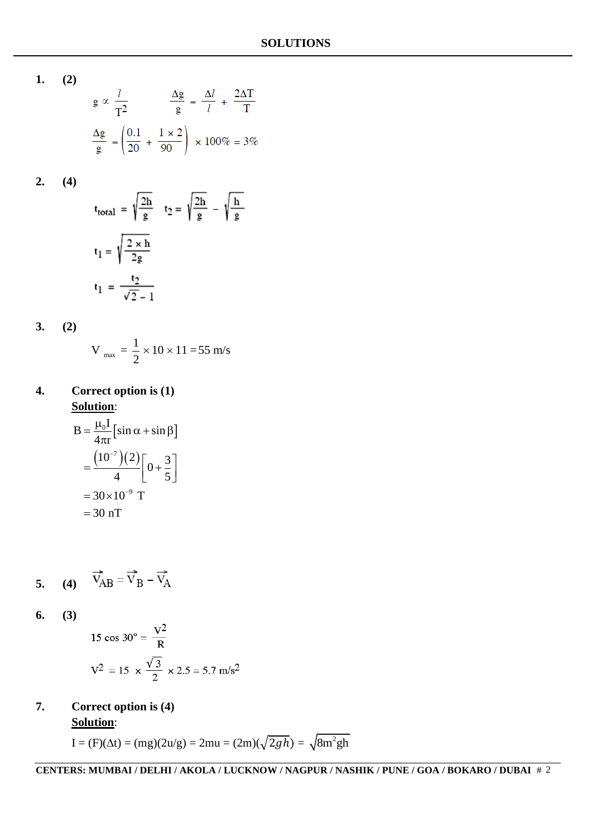**1. (2)**

$$
g \propto \frac{l}{T^2}
$$
\n
$$
\frac{\Delta g}{g} = \frac{\Delta l}{l} + \frac{2\Delta T}{T}
$$
\n
$$
\frac{\Delta g}{g} = \left(\frac{0.1}{20} + \frac{1 \times 2}{90}\right) \times 100\% = 3\%
$$

**2. (4)**

$$
t_{\text{total}} = \sqrt{\frac{2h}{g}} \quad t_2 = \sqrt{\frac{2h}{g}} - \sqrt{\frac{h}{g}}
$$

$$
t_1 = \sqrt{\frac{2 \times h}{2g}}
$$

$$
t_1 = \frac{t_2}{\sqrt{2} - 1}
$$

**3. (2)**

$$
V_{\text{max}} = \frac{1}{2} \times 10 \times 11 = 55 \text{ m/s}
$$

**4. Correct option is (1) Solution**:

$$
B = \frac{\mu_0 I}{4\pi r} \left[ \sin \alpha + \sin \beta \right]
$$
  
= 
$$
\frac{\left( 10^{-7} \right) \left( 2 \right)}{4} \left[ 0 + \frac{3}{5} \right]
$$
  
= 
$$
30 \times 10^{-9} \text{ T}
$$
  
= 30 nT

$$
5. \qquad (4) \qquad \vec{V}_{AB} = \vec{V}_{B} - \vec{V}_{A}
$$

**6. (3)**

15 cos 30° = 
$$
\frac{V^2}{R}
$$
  

$$
V^2 = 15 \times \frac{\sqrt{3}}{2} \times 2.5 = 5.7 \text{ m/s}^2
$$

## **7. Correct option is (4)**

**Solution**:

$$
I = (F)(\Delta t) = (mg)(2u/g) = 2mu = (2m)(\sqrt{2gh}) = \sqrt{8m^2gh}
$$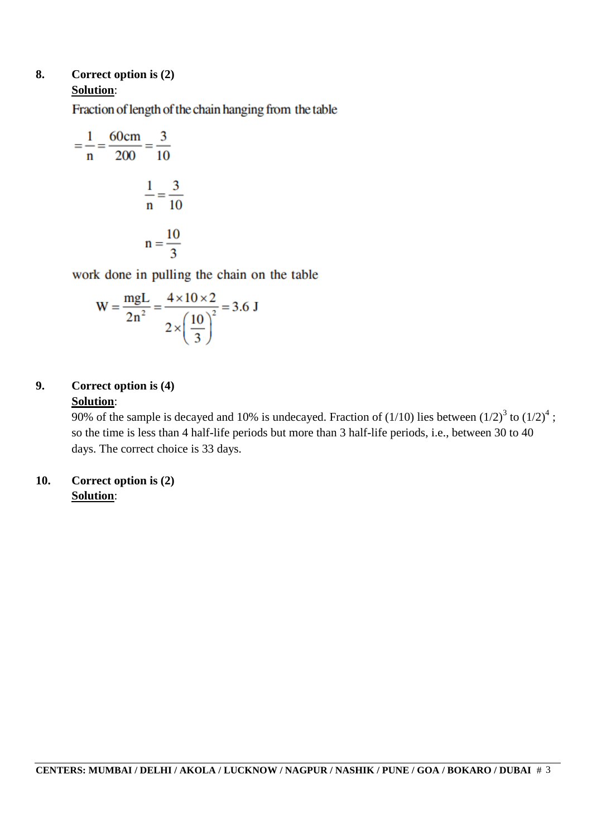### **8. Correct option is (2) Solution**:

Fraction of length of the chain hanging from the table

$$
= \frac{1}{n} = \frac{60 \text{cm}}{200} = \frac{3}{10}
$$

$$
\frac{1}{n} = \frac{3}{10}
$$

$$
n = \frac{10}{3}
$$

work done in pulling the chain on the table

$$
W = \frac{mgL}{2n^2} = \frac{4 \times 10 \times 2}{2 \times \left(\frac{10}{3}\right)^2} = 3.6 J
$$

### **9. Correct option is (4) Solution**:

90% of the sample is decayed and 10% is undecayed. Fraction of  $(1/10)$  lies between  $(1/2)^3$  to  $(1/2)^4$ ; so the time is less than 4 half-life periods but more than 3 half-life periods, i.e., between 30 to 40 days. The correct choice is 33 days.

### **10. Correct option is (2) Solution**: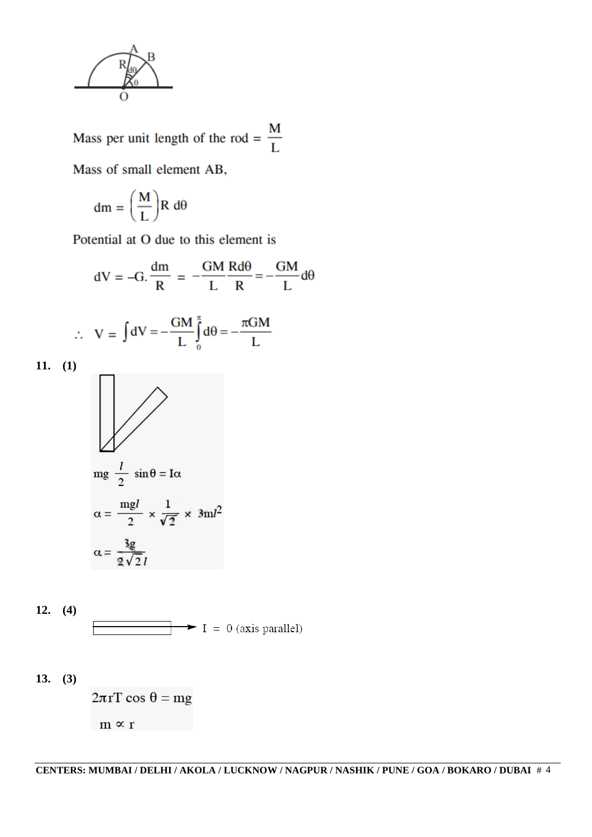

Mass per unit length of the rod =  $\frac{M}{L}$ Mass of small element AB,

$$
dm=\Bigg(\frac{M}{L}\Bigg)R\ d\theta
$$

Potential at O due to this element is

dV = -G. 
$$
\frac{dm}{R} = -\frac{GM}{L} \frac{Rd\theta}{R} = -\frac{GM}{L} d\theta
$$
  
\n
$$
\therefore V = \int dV = -\frac{GM}{L} \int_{0}^{\pi} d\theta = -\frac{\pi GM}{L}
$$
\n11. (1)  
\n
$$
mg \frac{l}{2} \sin \theta = I\alpha
$$
\n
$$
\alpha = \frac{mgl}{2} \times \frac{1}{\sqrt{2}} \times 3ml^2
$$
\n
$$
\alpha = \frac{3g}{2\sqrt{2}l}
$$

12. (4) 
$$
\boxed{\qquad \qquad \longrightarrow \qquad} \qquad I = 0 \text{ (axis parallel)}
$$

**13. (3)**

 $2\pi rT \cos \theta = mg$  $m \propto r$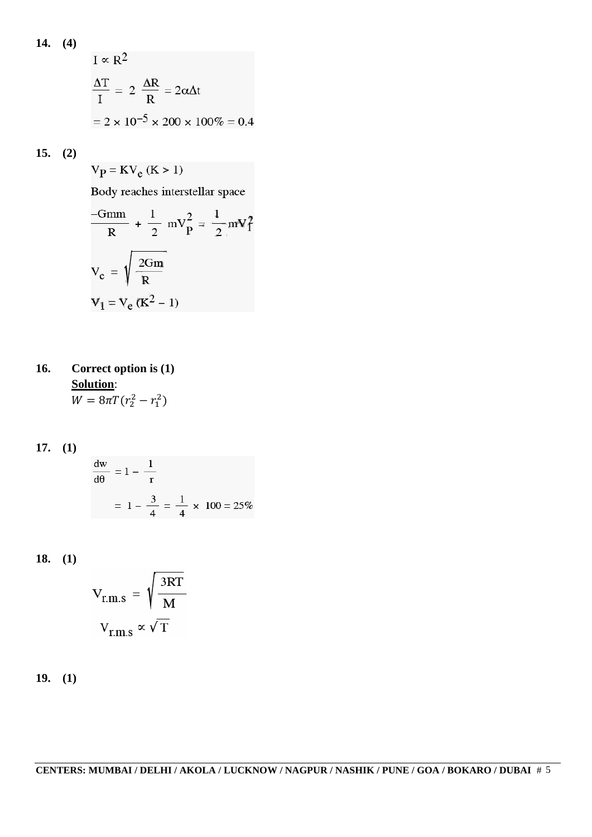14. (4)  
\n
$$
I \propto R^2
$$
\n
$$
\frac{\Delta T}{I} = 2 \frac{\Delta R}{R} = 2\alpha \Delta t
$$
\n
$$
= 2 \times 10^{-5} \times 200 \times 100\% = 0.4
$$

**15. (2)**

$$
V_{\mathbf{P}} = \mathbf{K} V_{\mathbf{e}} \left( \mathbf{K} > 1 \right)
$$

Body reaches interstellar space

$$
\frac{-Gmm}{R} + \frac{1}{2} mV_P^2 = \frac{1}{2} mV_I^2
$$

$$
V_e = \sqrt{\frac{2Gm}{R}}
$$

$$
V_1 = V_e (K^2 - 1)
$$

- **16. Correct option is (1) Solution**:  $W = 8\pi T (r_2^2 - r_1^2)$
- **17. (1)**

$$
\frac{dw}{d\theta} = 1 - \frac{1}{r}
$$
  
=  $1 - \frac{3}{4} = \frac{1}{4} \times 100 = 25\%$ 

**18. (1)**

$$
V_{r.m.s} = \sqrt{\frac{3RT}{M}}
$$

$$
V_{r.m.s} \propto \sqrt{T}
$$

**19. (1)**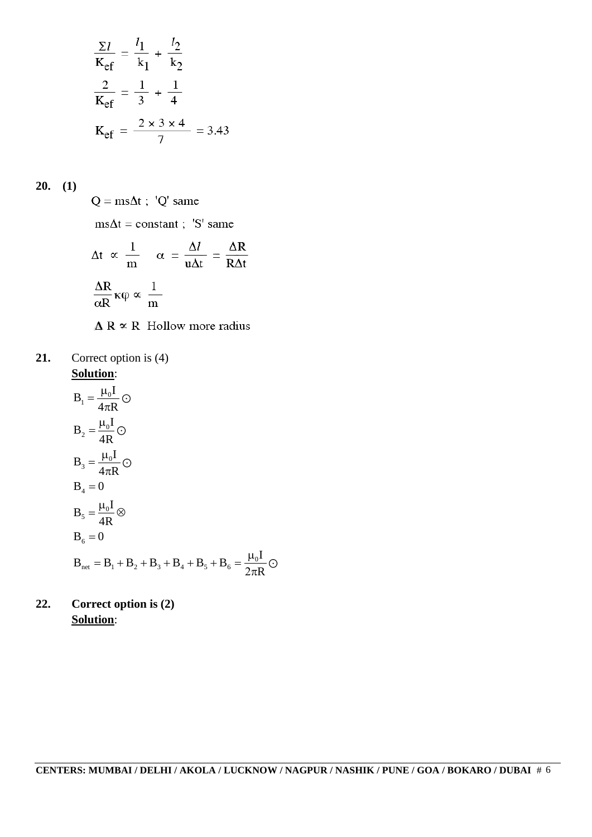$$
\frac{\Sigma l}{\text{K}_{\text{ef}}} = \frac{l_1}{k_1} + \frac{l_2}{k_2}
$$

$$
\frac{2}{\text{K}_{\text{ef}}} = \frac{1}{3} + \frac{1}{4}
$$

$$
\text{K}_{\text{ef}} = \frac{2 \times 3 \times 4}{7} = 3.43
$$

**20. (1)**

 $Q = ms\Delta t$ ; 'Q' same  $ms\Delta t = constant$ ; 'S' same  $\Delta t \propto \frac{1}{m}$   $\alpha = \frac{\Delta l}{u \Delta t} = \frac{\Delta R}{R \Delta t}$  $\frac{\Delta R}{\alpha R}\kappa\phi\propto\frac{1}{m}$  $\triangle$  R  $\propto$  R Hollow more radius

**21.** Correct option is (4) **Solution**:

$$
B_1 = \frac{\mu_0 I}{4\pi R} \odot
$$
  
\n
$$
B_2 = \frac{\mu_0 I}{4R} \odot
$$
  
\n
$$
B_3 = \frac{\mu_0 I}{4\pi R} \odot
$$
  
\n
$$
B_4 = 0
$$
  
\n
$$
B_5 = \frac{\mu_0 I}{4R} \otimes
$$
  
\n
$$
B_6 = 0
$$
  
\n
$$
B_{net} = B_1 + B_2 + B_3 + B_4 + B_5 + B_6 = \frac{\mu_0 I}{2\pi R} \odot
$$

**22. Correct option is (2) Solution**: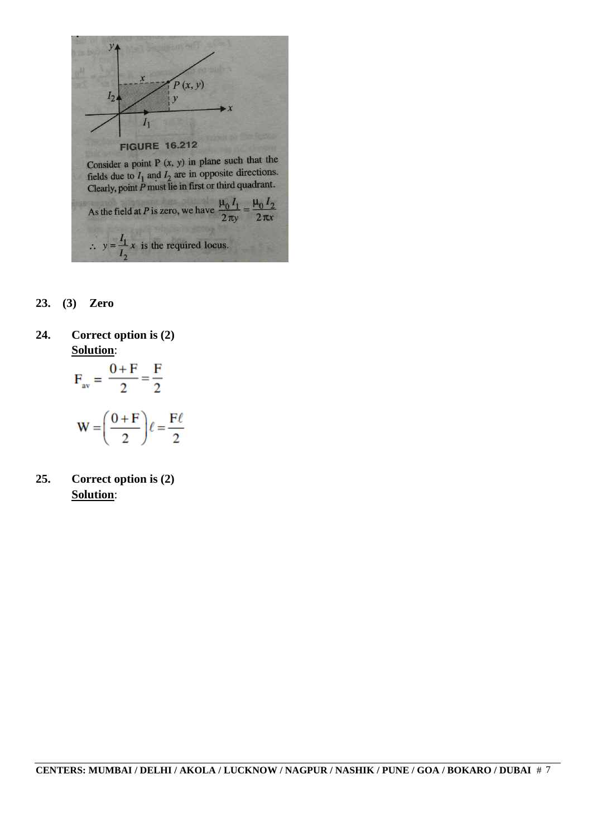

- **23. (3) Zero**
- **24. Correct option is (2) Solution**:

$$
F_{av} = \frac{0 + F}{2} = \frac{F}{2}
$$

$$
W = \left(\frac{0 + F}{2}\right)\ell = \frac{F\ell}{2}
$$

**25. Correct option is (2) Solution**: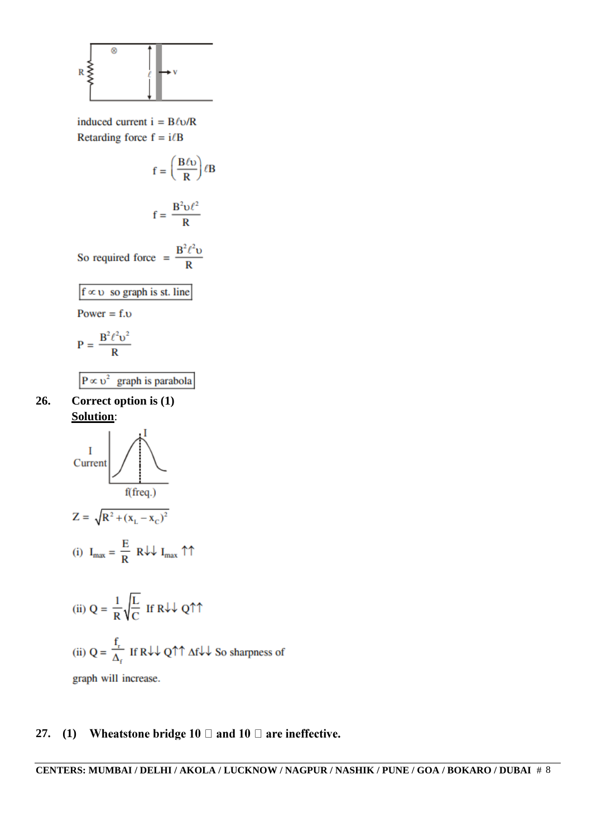

induced current  $i = B\ell v/R$ Retarding force  $f = i/B$ 

$$
f = \left(\frac{B\ell\upsilon}{R}\right)\ell B
$$

$$
f = \frac{B^2 \nu \ell^2}{R}
$$

So required force =  $\frac{B^2 \ell^2 v}{R}$ 

$$
f \propto v
$$
 so graph is st. line

Power =  $f.v$ 

$$
P = \frac{B^2 \ell^2 v^2}{R}
$$

 $P \propto v^2$  graph is parabola

**26. Correct option is (1) Solution**:



(ii) 
$$
Q = \frac{1}{R} \sqrt{\frac{L}{C}}
$$
 If  $R \downarrow \downarrow Q \uparrow \uparrow$   
(ii)  $Q = \frac{f_r}{\Delta_f}$  If  $R \downarrow \downarrow Q \uparrow \uparrow \Delta f \downarrow \downarrow$  So sharpness of  
graph will increase.

#### Wheatstone bridge 10  $\Box$  and 10  $\Box$  are ineffective. **27. (1)**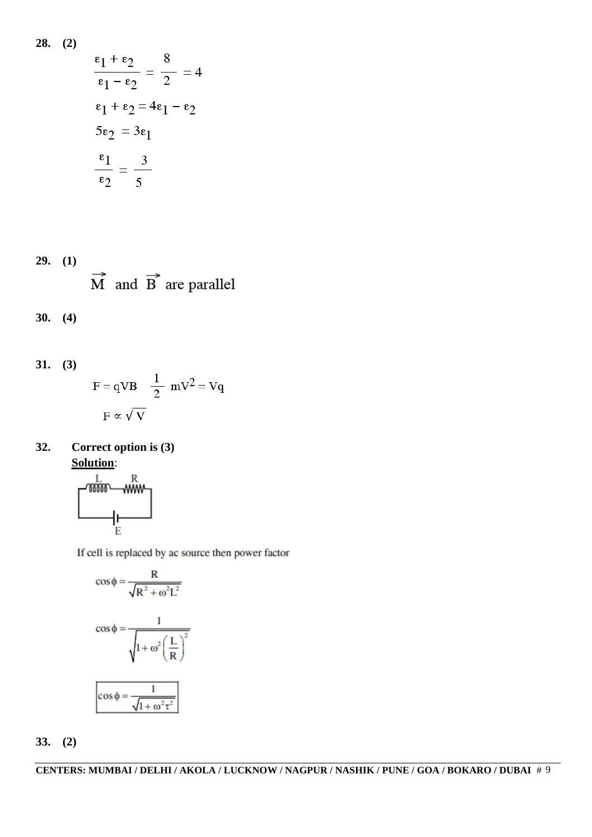**28. (2)**

$$
\frac{\epsilon_1 + \epsilon_2}{\epsilon_1 - \epsilon_2} = \frac{8}{2} = 4
$$
  
\n
$$
\epsilon_1 + \epsilon_2 = 4\epsilon_1 - \epsilon_2
$$
  
\n
$$
5\epsilon_2 = 3\epsilon_1
$$
  
\n
$$
\frac{\epsilon_1}{\epsilon_2} = \frac{3}{5}
$$

**29. (1)**  $\overrightarrow{M}$  and  $\overrightarrow{B}$  are parallel

$$
30. (4)
$$

31. (3)  
\n
$$
F = qVB \frac{1}{2} mV^2 = Vq
$$
  
\n $F \propto \sqrt{V}$ 

**32. Correct option is (3) Solution**:



If cell is replaced by ac source then power factor

$$
\cos \phi = \frac{R}{\sqrt{R^2 + \omega^2 L^2}}
$$

$$
\cos \phi = \frac{1}{\sqrt{1 + \omega^2 \left(\frac{L}{R}\right)^2}}
$$

$$
\cos \phi = \frac{1}{\sqrt{1 + \omega^2 \tau^2}}
$$

**33. (2)**

**CENTERS: MUMBAI / DELHI / AKOLA / LUCKNOW / NAGPUR / NASHIK / PUNE / GOA / BOKARO / DUBAI** # 9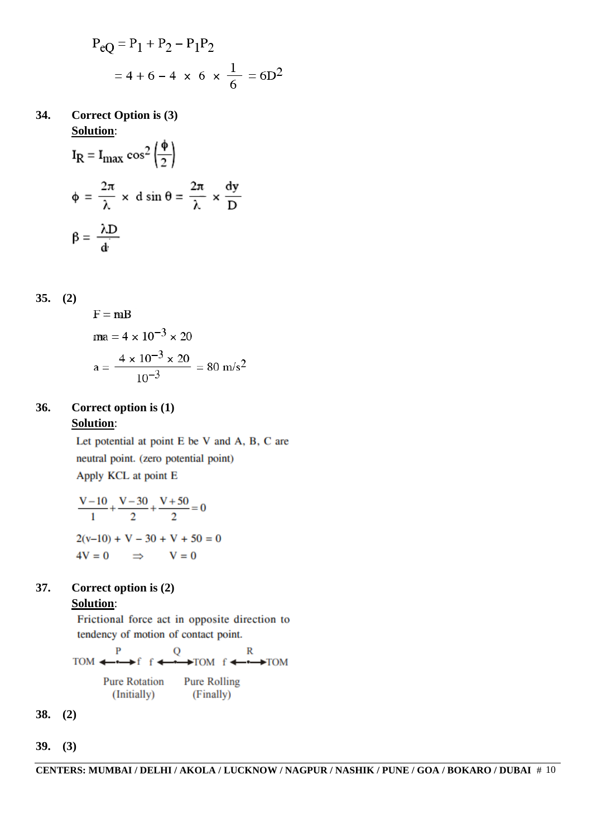$$
P_{eQ} = P_1 + P_2 - P_1 P_2
$$
  
= 4 + 6 - 4 × 6 ×  $\frac{1}{6}$  = 6D<sup>2</sup>

**34. Correct Option is (3) Solution**:

$$
I_R = I_{\text{max}} \cos^2 \left(\frac{\phi}{2}\right)
$$
  

$$
\phi = \frac{2\pi}{\lambda} \times d \sin \theta = \frac{2\pi}{\lambda} \times \frac{dy}{D}
$$
  

$$
\beta = \frac{\lambda D}{d}
$$

$$
35. (2)
$$

$$
F = mB
$$
  
ma = 4 × 10<sup>-3</sup> × 20  
a = 
$$
\frac{4 × 10^{-3} × 20}{10^{-3}} = 80 m/s2
$$

### **36. Correct option is (1) Solution**:

Let potential at point E be V and A, B, C are neutral point. (zero potential point) Apply KCL at point E

$$
\frac{V-10}{1} + \frac{V-30}{2} + \frac{V+50}{2} = 0
$$
  
2(v-10) + V - 30 + V + 50 = 0  
4V = 0 \implies V = 0

### **37. Correct option is (2) Solution**:

Frictional force act in opposite direction to tendency of motion of contact point.

 $\overline{P}$  $\mathbb{R}$ Q  $\rightarrow$  TOM f  $\leftarrow$   $\rightarrow$  TOM  $TOM \leftarrow \leftarrow$  $\Rightarrow$ f f  $\leftrightarrow$ **Pure Rotation Pure Rolling** (Initially) (Finally)

- **38. (2)**
- **39. (3)**

**CENTERS: MUMBAI / DELHI / AKOLA / LUCKNOW / NAGPUR / NASHIK / PUNE / GOA / BOKARO / DUBAI** # 10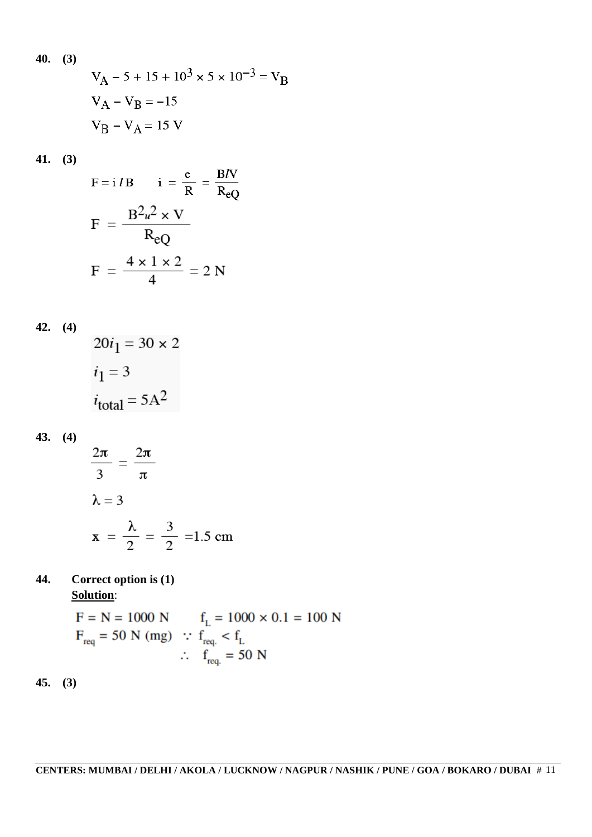40. (3)  
\n
$$
V_{A} - 5 + 15 + 10^{3} \times 5 \times 10^{-3} = V_{B}
$$
\n
$$
V_{A} - V_{B} = -15
$$
\n
$$
V_{B} - V_{A} = 15 V
$$

**41. (3)**

$$
F = i l B \t i = \frac{e}{R} = \frac{B I V}{R_{eQ}}
$$

$$
F = \frac{B^2 u^2 \times V}{R_{eQ}}
$$

$$
F = \frac{4 \times 1 \times 2}{4} = 2 N
$$

$$
42. (4)
$$

$$
20i_1 = 30 \times 2
$$
  

$$
i_1 = 3
$$
  

$$
i_{\text{total}} = 5A^2
$$

# **43. (4)**

 $\frac{2\pi}{3} = \frac{2\pi}{\pi}$  $\lambda = 3$  $x = \frac{\lambda}{2} = \frac{3}{2} = 1.5$  cm

### **44. Correct option is (1) Solution**:

$$
F = N = 1000 N \t fL = 1000 \times 0.1 = 100 N
$$
  
\n
$$
Freq = 50 N (mg) :: freq < fL
$$
  
\n
$$
freq = 50 N
$$

**45. (3)**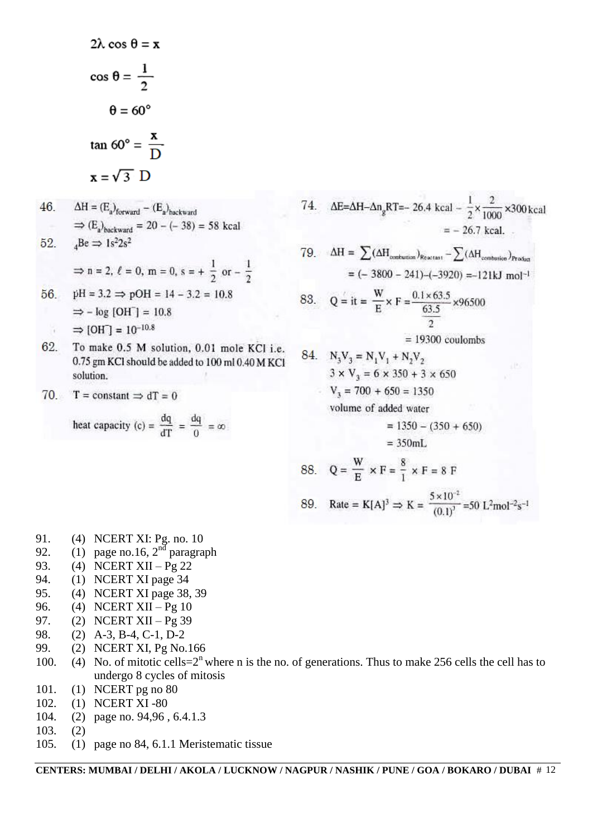$$
2\lambda \cos \theta = \mathbf{x}
$$
  
\n
$$
\cos \theta = \frac{1}{2}
$$
  
\n
$$
\theta = 60^{\circ}
$$
  
\n
$$
\tan 60^{\circ} = \frac{\mathbf{x}}{D}
$$
  
\n
$$
\mathbf{x} = \sqrt{3} \quad D
$$
  
\n46. 
$$
\Delta H = (E_a)_{\text{forward}} - (E_a)_{\text{backward}}
$$
  
\n
$$
\Rightarrow (E_a)_{\text{backward}} = 20 - (-38) = 58 \text{ kcal}
$$
  
\n52. 
$$
{}_{4}Be \Rightarrow 1s^{2}2s^{2}
$$
  
\n
$$
\Rightarrow n = 2, \ell = 0, \text{ m} = 0, \text{ s} = +\frac{1}{2} \text{ or } -\frac{1}{2}
$$
  
\n56. 
$$
pH = 3.2 \Rightarrow pOH = 14 - 3.2 = 10.8
$$
  
\n
$$
\Rightarrow \log [OH] = 10.8
$$
  
\n
$$
\Rightarrow [OH] = 10^{-10.8}
$$
  
\n62. To make 0.5 M solution, 0.01 mole KCl i.e. 0.75 gm KCl should be added to 100 ml 0.40 M KCl solution.  
\n70. T = constant  $\Rightarrow dT = 0$   
\nheat capacity (c) =  $\frac{dq}{dT} = \frac{dq}{0} = \infty$ 

74. 
$$
\Delta E = \Delta H - \Delta n_g RT = -26.4 \text{ kcal} - \frac{1}{2} \times \frac{2}{1000} \times 300 \text{ kcal}
$$
  
\t\t\t $= -26.7 \text{ kcal.}$   
79.  $\Delta H = \sum (\Delta H_{conflaxian})_{Rearitan} - \sum (\Delta H_{conflaxion})_{Pracha}$   
\t\t\t $= (-3800 - 241) - (-3920) = -121 \text{ kJ} \text{ mol}^{-1}$   
83.  $Q = \text{it} = \frac{W}{E} \times F = \frac{0.1 \times 63.5}{63.5} \times 96500$   
\t\t\t $= 19300 \text{ coulombs}$   
84.  $N_3 V_3 = N_1 V_1 + N_2 V_2$   
\t\t\t $3 \times V_3 = 6 \times 350 + 3 \times 650$   
\t\t\t $V_3 = 700 + 650 = 1350$   
\t\t\tvolume of added water  
\t\t\t $= 1350 - (350 + 650)$   
\t\t\t $= 350 \text{ mL}$   
88.  $Q = \frac{W}{E} \times F = \frac{8}{1} \times F = 8 F$   
89. Rate =  $K[A]^3 \Rightarrow K = \frac{5 \times 10^{-2}}{(0.1)^3} = 50 \text{ L}^2 \text{mol}^{-2} \text{s}^{-1}$ 

- 91. (4) NCERT XI: Pg. no. 10
- 92. (1) page no.16,  $2<sup>nd</sup>$  paragraph
- 93. (4) NCERT XII  $P_g$  22
- 94. (1) NCERT XI page 34
- 95. (4) NCERT XI page 38, 39
- 96. (4) NCERT XII Pg 10
- 97. (2) NCERT XII Pg 39
- 98. (2) A-3, B-4, C-1, D-2
- 99. (2) NCERT XI, Pg No.166
- 100. (4) No. of mitotic cells= $2^n$  where n is the no. of generations. Thus to make 256 cells the cell has to undergo 8 cycles of mitosis
- 101. (1) NCERT pg no 80
- 102. (1) NCERT XI -80
- 104. (2) page no. 94,96 , 6.4.1.3
- 103. (2)
- 105. (1) page no 84, 6.1.1 Meristematic tissue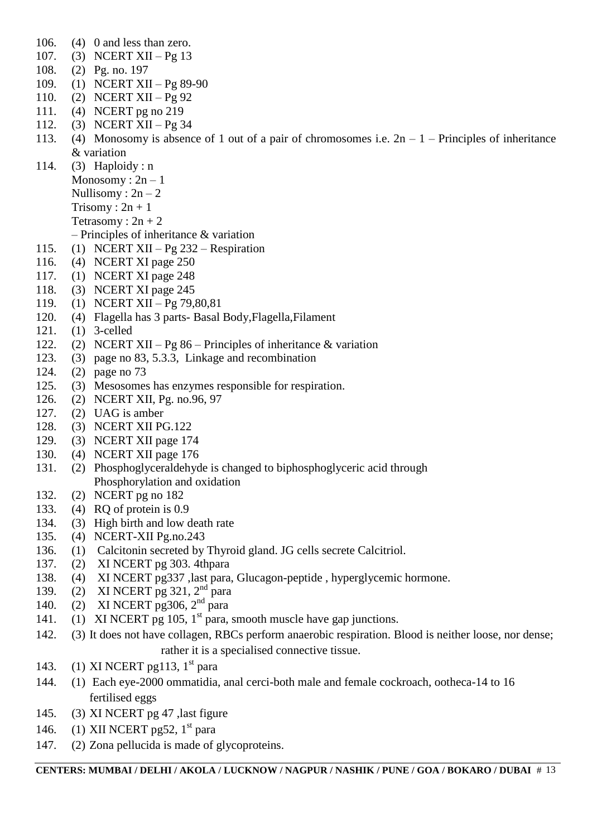- 106. (4) 0 and less than zero.
- 107. (3) NCERT XII Pg 13
- 108. (2) Pg. no. 197
- 109. (1) NCERT XII Pg 89-90
- 110. (2) NCERT XII Pg 92
- 111. (4) NCERT pg no 219
- 112. (3) NCERT XII Pg 34
- 113. (4) Monosomy is absence of 1 out of a pair of chromosomes i.e.  $2n 1$  Principles of inheritance & variation
- 114. (3) Haploidy : n
	- Monosomy:  $2n 1$
	- Nullisomy :  $2n 2$ 
		- Trisomy :  $2n + 1$
		- Tetrasomy :  $2n + 2$
		- Principles of inheritance & variation
- 115. (1) NCERT XII Pg 232 Respiration
- 116. (4) NCERT XI page 250
- 117. (1) NCERT XI page 248
- 118. (3) NCERT XI page 245
- 119. (1) NCERT XII Pg 79,80,81
- 120. (4) Flagella has 3 parts- Basal Body,Flagella,Filament
- 121. (1) 3-celled
- 122. (2) NCERT XII Pg 86 Principles of inheritance & variation
- 123. (3) page no 83, 5.3.3, Linkage and recombination
- 124. (2) page no 73
- 125. (3) Mesosomes has enzymes responsible for respiration.
- 126. (2) NCERT XII, Pg. no.96, 97
- 127. (2) UAG is amber
- 128. (3) NCERT XII PG.122
- 129. (3) NCERT XII page 174
- 130. (4) NCERT XII page 176
- 131. (2) Phosphoglyceraldehyde is changed to biphosphoglyceric acid through Phosphorylation and oxidation
- 132. (2) NCERT pg no 182
- 133. (4) RQ of protein is 0.9
- 134. (3) High birth and low death rate
- 135. (4) NCERT-XII Pg.no.243
- 136. (1) Calcitonin secreted by Thyroid gland. JG cells secrete Calcitriol.
- 137. (2) XI NCERT pg 303. 4thpara
- 138. (4) XI NCERT pg337 ,last para, Glucagon-peptide , hyperglycemic hormone.
- 139. (2) XI NCERT pg 321, 2<sup>nd</sup> para
- 140. (2) XI NCERT pg306, 2<sup>nd</sup> para
- 141. (1) XI NCERT pg 105, 1<sup>st</sup> para, smooth muscle have gap junctions.
- 142. (3) It does not have collagen, RBCs perform anaerobic respiration. Blood is neither loose, nor dense; rather it is a specialised connective tissue.
- 143. (1) XI NCERT pg113,  $1<sup>st</sup>$  para
- 144. (1) Each eye-2000 ommatidia, anal cerci-both male and female cockroach, ootheca-14 to 16 fertilised eggs
- 145. (3) XI NCERT pg 47 ,last figure
- 146. (1) XII NCERT pg52,  $1<sup>st</sup>$  para
- 147. (2) Zona pellucida is made of glycoproteins.